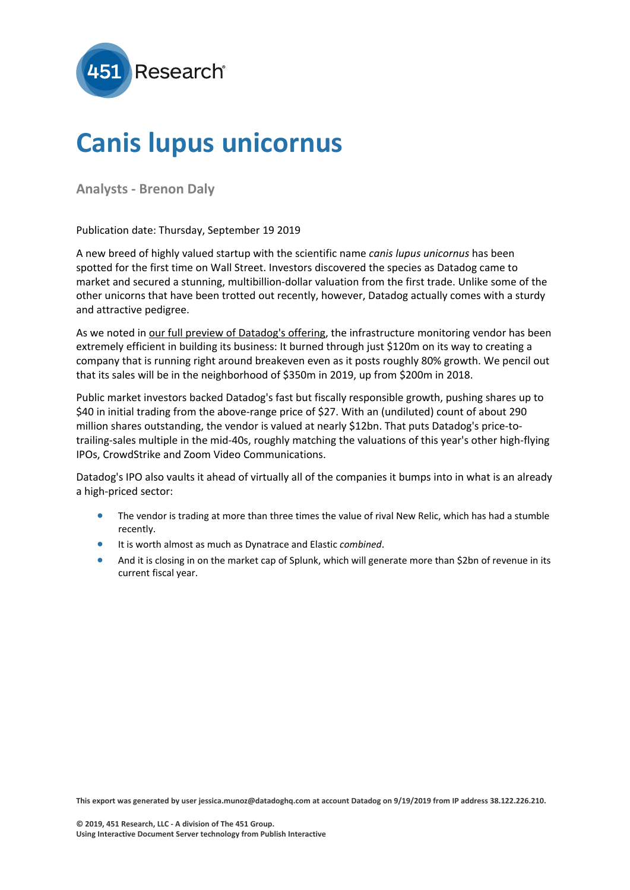

## **Canis lupus unicornus**

**Analysts - Brenon Daly**

Publication date: Thursday, September 19 2019

A new breed of highly valued startup with the scientific name *canis lupus unicornus* has been spotted for the first time on Wall Street. Investors discovered the species as Datadog came to market and secured a stunning, multibillion-dollar valuation from the first trade. Unlike some of the other unicorns that have been trotted out recently, however, Datadog actually comes with a sturdy and attractive pedigree.

As we noted in our full preview of [Datadog's](https://clients.451research.com/reports/97811) offering, the infrastructure monitoring vendor has been extremely efficient in building its business: It burned through just \$120m on its way to creating a company that is running right around breakeven even as it posts roughly 80% growth. We pencil out that its sales will be in the neighborhood of \$350m in 2019, up from \$200m in 2018.

Public market investors backed Datadog's fast but fiscally responsible growth, pushing shares up to \$40 in initial trading from the above-range price of \$27. With an (undiluted) count of about 290 million shares outstanding, the vendor is valued at nearly \$12bn. That puts Datadog's price-totrailing-sales multiple in the mid-40s, roughly matching the valuations of this year's other high-flying IPOs, CrowdStrike and Zoom Video Communications.

Datadog's IPO also vaults it ahead of virtually all of the companies it bumps into in what is an already a high-priced sector:

- The vendor is trading at more than three times the value of rival New Relic, which has had a stumble recently.
- It is worth almost as much as Dynatrace and Elastic *combined*.
- And it is closing in on the market cap of Splunk, which will generate more than \$2bn of revenue in its current fiscal year.

This export was generated by user jessica.munoz@datadoghq.com at account Datadog on 9/19/2019 from IP address 38.122.226.210.